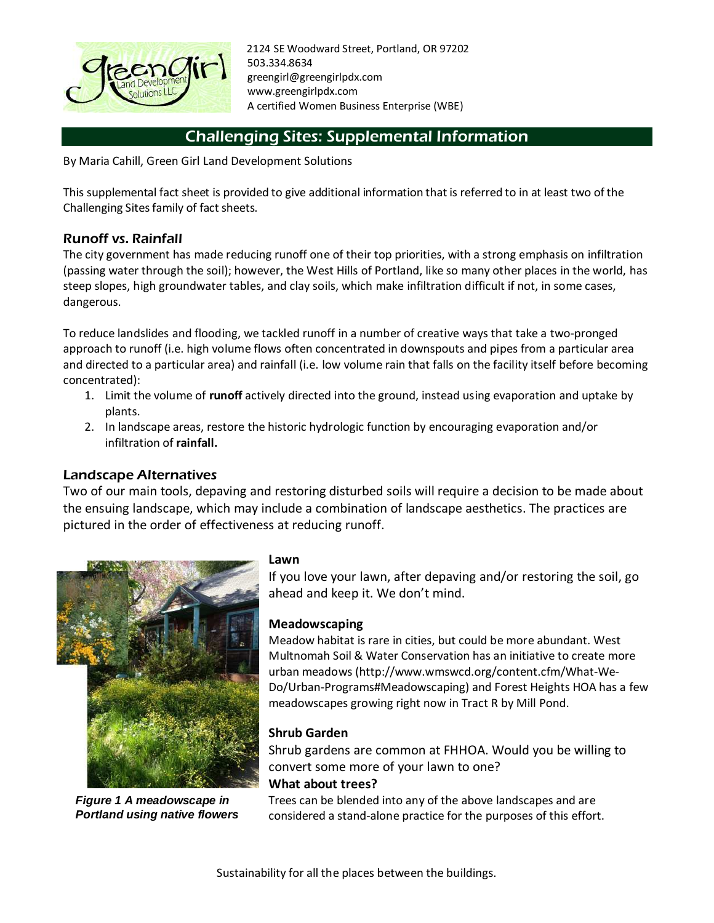

2124 SE Woodward Street, Portland, OR 97202 503.334.8634 greengirl@greengirlpdx.com www.greengirlpdx.com A certified Women Business Enterprise (WBE)

# Challenging Sites: Supplemental Information

By Maria Cahill, Green Girl Land Development Solutions

This supplemental fact sheet is provided to give additional information that is referred to in at least two of the Challenging Sites family of fact sheets.

## Runoff vs. Rainfall

The city government has made reducing runoff one of their top priorities, with a strong emphasis on infiltration (passing water through the soil); however, the West Hills of Portland, like so many other places in the world, has steep slopes, high groundwater tables, and clay soils, which make infiltration difficult if not, in some cases, dangerous.

To reduce landslides and flooding, we tackled runoff in a number of creative ways that take a two-pronged approach to runoff (i.e. high volume flows often concentrated in downspouts and pipes from a particular area and directed to a particular area) and rainfall (i.e. low volume rain that falls on the facility itself before becoming concentrated):

- 1. Limit the volume of **runoff** actively directed into the ground, instead using evaporation and uptake by plants.
- 2. In landscape areas, restore the historic hydrologic function by encouraging evaporation and/or infiltration of **rainfall.**

## Landscape Alternatives

Two of our main tools, depaving and restoring disturbed soils will require a decision to be made about the ensuing landscape, which may include a combination of landscape aesthetics. The practices are pictured in the order of effectiveness at reducing runoff.



*Figure 1 A meadowscape in Portland using native flowers*

#### **Lawn**

If you love your lawn, after depaving and/or restoring the soil, go ahead and keep it. We don't mind.

### **Meadowscaping**

Meadow habitat is rare in cities, but could be more abundant. West Multnomah Soil & Water Conservation has an initiative to create more urban meadows (http://www.wmswcd.org/content.cfm/What-We-Do/Urban-Programs#Meadowscaping) and Forest Heights HOA has a few meadowscapes growing right now in Tract R by Mill Pond.

### **Shrub Garden**

Shrub gardens are common at FHHOA. Would you be willing to convert some more of your lawn to one? **What about trees?**

Trees can be blended into any of the above landscapes and are considered a stand-alone practice for the purposes of this effort.